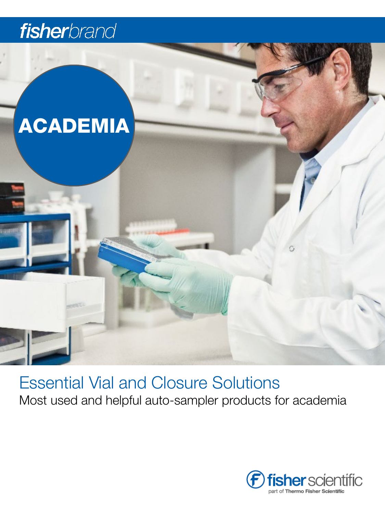# fisherbrand



Essential Vial and Closure Solutions Most used and helpful auto-sampler products for academia

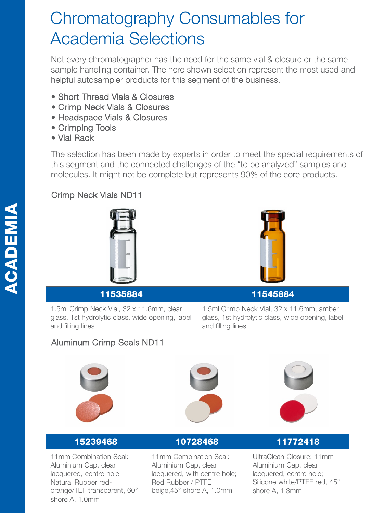## Chromatography Consumables for Academia Selections

Not every chromatographer has the need for the same vial & closure or the same sample handling container. The here shown selection represent the most used and helpful autosampler products for this segment of the business.

- Short Thread Vials & Closures
- Crimp Neck Vials & Closures
- Headspace Vials & Closures
- Crimping Tools
- Vial Rack

The selection has been made by experts in order to meet the special requirements of this segment and the connected challenges of the "to be analyzed" samples and molecules. It might not be complete but represents 90% of the core products.

## Crimp Neck Vials ND11





## 11535884 11545884

1.5ml Crimp Neck Vial, 32 x 11.6mm, amber glass, 1st hydrolytic class, wide opening, label and filling lines

## Aluminum Crimp Seals ND11

1.5ml Crimp Neck Vial, 32 x 11.6mm, clear glass, 1st hydrolytic class, wide opening, label



and filling lines





11mm Combination Seal: Aluminium Cap, clear lacquered, centre hole; Natural Rubber redorange/TEF transparent, 60° shore A, 1.0mm

11mm Combination Seal: Aluminium Cap, clear lacquered, with centre hole; Red Rubber / PTFE beige,45° shore A, 1.0mm

## 15239468 10728468 11772418

UltraClean Closure: 11mm Aluminium Cap, clear lacquered, centre hole; Silicone white/PTFE red, 45° shore A, 1.3mm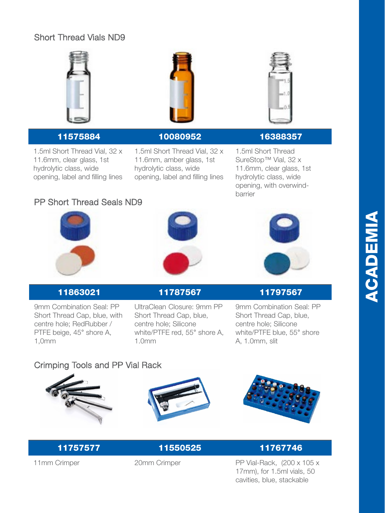## Short Thread Vials ND9



1.5ml Short Thread Vial, 32 x 11.6mm, clear glass, 1st hydrolytic class, wide opening, label and filling lines



### 11575884 10080952 16388357

1.5ml Short Thread Vial, 32 x 11.6mm, amber glass, 1st hydrolytic class, wide opening, label and filling lines



1.5ml Short Thread SureStop™ Vial, 32 x 11.6mm, clear glass, 1st hydrolytic class, wide opening, with overwindbarrier

## PP Short Thread Seals ND9







9mm Combination Seal: PP Short Thread Cap, blue, with centre hole; RedRubber / PTFE beige, 45° shore A, 1,0mm

## 11863021 11787567 11797567

UltraClean Closure: 9mm PP Short Thread Cap, blue, centre hole; Silicone white/PTFE red, 55° shore A, 1.0mm

9mm Combination Seal: PP Short Thread Cap, blue, centre hole; Silicone white/PTFE blue, 55° shore A, 1.0mm, slit

## Crimping Tools and PP Vial Rack







## 11757577 11550525 11767746

11mm Crimper 20mm Crimper PP Vial-Rack, (200 x 105 x 17mm), for 1.5ml vials, 50 cavities, blue, stackable

# ACADEMIA**ACADEMIA**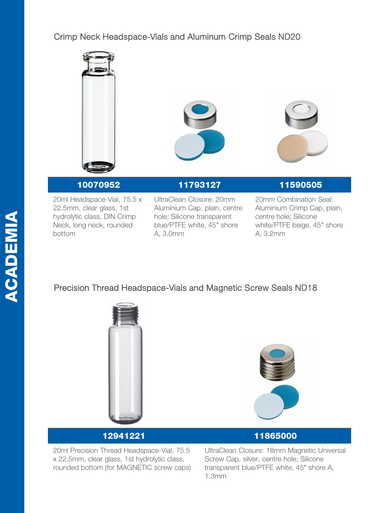## Crimp Neck Headspace-Vials and Aluminum Crimp Seals ND20



20ml Headspace-Vial, 75.5 x 22.5mm, clear glass, 1st hydrolytic class, DIN Crimp Neck, long neck, rounded bottom

UltraClean Closure: 20mm Aluminium Cap, plain, centre hole; Silicone transparent blue/PTFE white, 45° shore A, 3.0mm

10070952 11793127 11590505

20mm Combination Seal: Aluminium Crimp Cap, plain, centre hole; Silicone white/PTFE beige, 45° shore A, 3.2mm

## Precision Thread Headspace-Vials and Magnetic Screw Seals ND18





20ml Precision Thread Headspace-Vial, 75.5 x 22.5mm, clear glass, 1st hydrolytic class, rounded bottom (for MAGNETIC screw caps)



UltraClean Closure: 18mm Magnetic Universal Screw Cap, silver, centre hole; Silicone transparent blue/PTFE white, 45° shore A, 1.3mm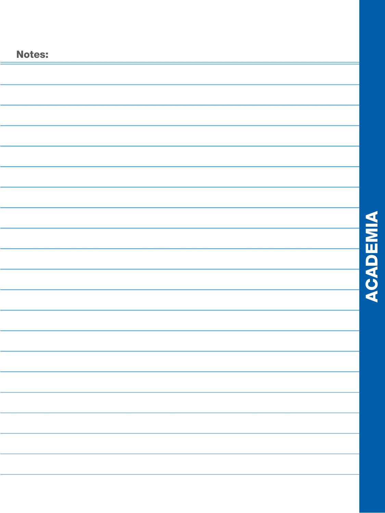| <b>Notes:</b> |  |  |  | <b>ACADEMIA</b> |  |  |  |  |
|---------------|--|--|--|-----------------|--|--|--|--|
|               |  |  |  |                 |  |  |  |  |
|               |  |  |  |                 |  |  |  |  |
|               |  |  |  |                 |  |  |  |  |
|               |  |  |  |                 |  |  |  |  |